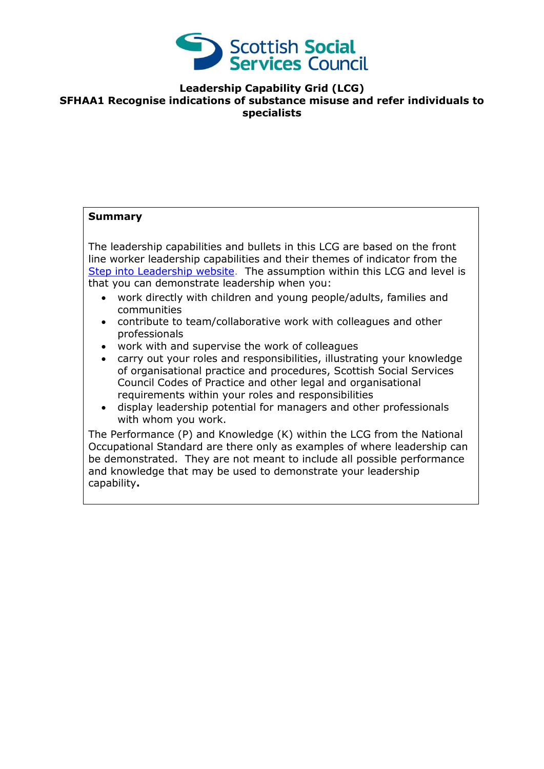

## **Leadership Capability Grid (LCG) SFHAA1 Recognise indications of substance misuse and refer individuals to specialists**

## **Summary**

The leadership capabilities and bullets in this LCG are based on the front line worker leadership capabilities and their themes of indicator from the [Step into Leadership website.](http://www.stepintoleadership.info/) The assumption within this LCG and level is that you can demonstrate leadership when you:

- work directly with children and young people/adults, families and communities
- contribute to team/collaborative work with colleagues and other professionals
- work with and supervise the work of colleagues
- carry out your roles and responsibilities, illustrating your knowledge of organisational practice and procedures, Scottish Social Services Council Codes of Practice and other legal and organisational requirements within your roles and responsibilities
- display leadership potential for managers and other professionals with whom you work.

The Performance (P) and Knowledge (K) within the LCG from the National Occupational Standard are there only as examples of where leadership can be demonstrated. They are not meant to include all possible performance and knowledge that may be used to demonstrate your leadership capability**.**